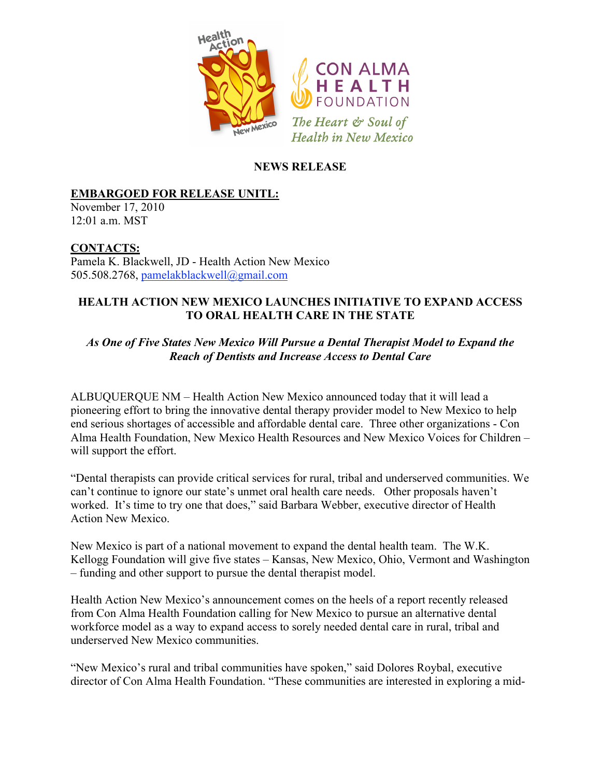

# **NEWS RELEASE**

#### **EMBARGOED FOR RELEASE UNITL:**

November 17, 2010  $12:01$  a.m. MST

#### **CONTACTS:**

Pamela K. Blackwell, JD - Health Action New Mexico 505.508.2768, pamelakblackwell@gmail.com

## **HEALTH ACTION NEW MEXICO LAUNCHES INITIATIVE TO EXPAND ACCESS TO ORAL HEALTH CARE IN THE STATE**

## *As One of Five States New Mexico Will Pursue a Dental Therapist Model to Expand the Reach of Dentists and Increase Access to Dental Care*

ALBUQUERQUE NM – Health Action New Mexico announced today that it will lead a pioneering effort to bring the innovative dental therapy provider model to New Mexico to help end serious shortages of accessible and affordable dental care. Three other organizations - Con Alma Health Foundation, New Mexico Health Resources and New Mexico Voices for Children – will support the effort.

"Dental therapists can provide critical services for rural, tribal and underserved communities. We can't continue to ignore our state's unmet oral health care needs. Other proposals haven't worked. It's time to try one that does," said Barbara Webber, executive director of Health Action New Mexico.

New Mexico is part of a national movement to expand the dental health team. The W.K. Kellogg Foundation will give five states – Kansas, New Mexico, Ohio, Vermont and Washington – funding and other support to pursue the dental therapist model.

Health Action New Mexico's announcement comes on the heels of a report recently released from Con Alma Health Foundation calling for New Mexico to pursue an alternative dental workforce model as a way to expand access to sorely needed dental care in rural, tribal and underserved New Mexico communities.

"New Mexico's rural and tribal communities have spoken," said Dolores Roybal, executive director of Con Alma Health Foundation. "These communities are interested in exploring a mid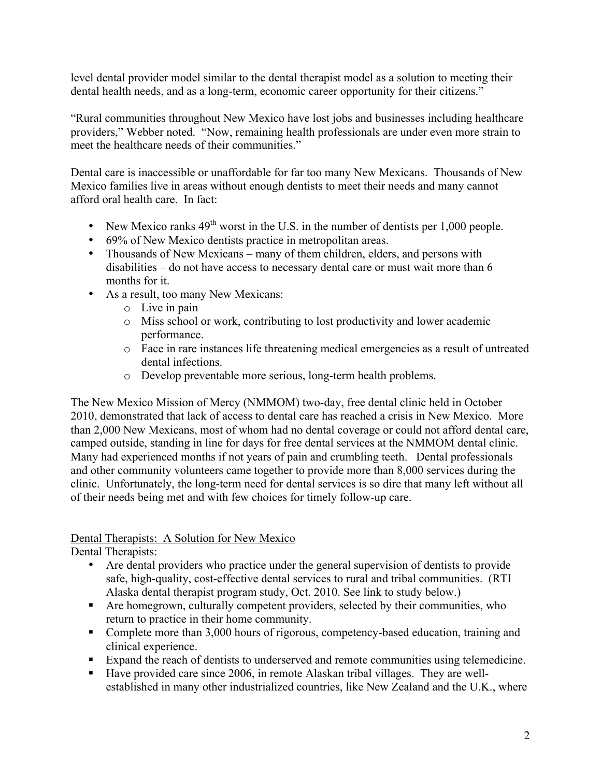level dental provider model similar to the dental therapist model as a solution to meeting their dental health needs, and as a long-term, economic career opportunity for their citizens."

"Rural communities throughout New Mexico have lost jobs and businesses including healthcare providers," Webber noted. "Now, remaining health professionals are under even more strain to meet the healthcare needs of their communities."

Dental care is inaccessible or unaffordable for far too many New Mexicans. Thousands of New Mexico families live in areas without enough dentists to meet their needs and many cannot afford oral health care. In fact:

- New Mexico ranks  $49<sup>th</sup>$  worst in the U.S. in the number of dentists per 1,000 people.
- 69% of New Mexico dentists practice in metropolitan areas.
- Thousands of New Mexicans many of them children, elders, and persons with disabilities – do not have access to necessary dental care or must wait more than 6 months for it.
- As a result, too many New Mexicans:
	- o Live in pain
	- o Miss school or work, contributing to lost productivity and lower academic performance.
	- o Face in rare instances life threatening medical emergencies as a result of untreated dental infections.
	- o Develop preventable more serious, long-term health problems.

The New Mexico Mission of Mercy (NMMOM) two-day, free dental clinic held in October 2010, demonstrated that lack of access to dental care has reached a crisis in New Mexico. More than 2,000 New Mexicans, most of whom had no dental coverage or could not afford dental care, camped outside, standing in line for days for free dental services at the NMMOM dental clinic. Many had experienced months if not years of pain and crumbling teeth. Dental professionals and other community volunteers came together to provide more than 8,000 services during the clinic. Unfortunately, the long-term need for dental services is so dire that many left without all of their needs being met and with few choices for timely follow-up care.

# Dental Therapists: A Solution for New Mexico

Dental Therapists:

- Are dental providers who practice under the general supervision of dentists to provide safe, high-quality, cost-effective dental services to rural and tribal communities. (RTI Alaska dental therapist program study, Oct. 2010. See link to study below.)
- Are homegrown, culturally competent providers, selected by their communities, who return to practice in their home community.
- Complete more than 3,000 hours of rigorous, competency-based education, training and clinical experience.
- Expand the reach of dentists to underserved and remote communities using telemedicine.
- Have provided care since 2006, in remote Alaskan tribal villages. They are wellestablished in many other industrialized countries, like New Zealand and the U.K., where